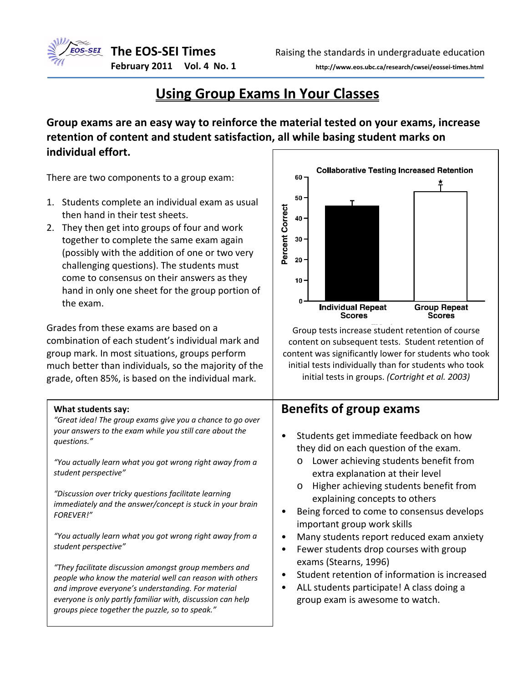



**February 2011 Vol. 4 No. 1 http://www.eos.ubc.ca/research/cwsei/eossei‐times.html**

## **Using Group Exams In Your Classes**

**Group exams are an easy way to reinforce the material tested on your exams, increase retention of content and student satisfaction, all while basing student marks on individual effort.** 

There are two components to a group exam:

- 1. Students complete an individual exam as usual then hand in their test sheets.
- 2. They then get into groups of four and work together to complete the same exam again (possibly with the addition of one or two very challenging questions). The students must come to consensus on their answers as they hand in only one sheet for the group portion of the exam.

Grades from these exams are based on a combination of each student's individual mark and group mark. In most situations, groups perform much better than individuals, so the majority of the grade, often 85%, is based on the individual mark.

#### **What students say:**

*"Great idea! The group exams give you a chance to go over your answers to the exam while you still care about the questions."*

*"You actually learn what you got wrong right away from a student perspective"*

*"Discussion over tricky questions facilitate learning immediately and the answer/concept is stuck in your brain FOREVER!"*

*"You actually learn what you got wrong right away from a student perspective"*

*"They facilitate discussion amongst group members and people who know the material well can reason with others and improve everyone's understanding. For material everyone is only partly familiar with, discussion can help groups piece together the puzzle, so to speak."*



Group tests increase student retention of course content on subsequent tests. Student retention of content was significantly lower for students who took initial tests individually than for students who took initial tests in groups. *(Cortright et al. 2003)*

#### **Benefits of group exams**

- Students get immediate feedback on how they did on each question of the exam.
	- o Lower achieving students benefit from extra explanation at their level
	- o Higher achieving students benefit from explaining concepts to others
- Being forced to come to consensus develops important group work skills
- Many students report reduced exam anxiety
- Fewer students drop courses with group exams (Stearns, 1996)
- Student retention of information is increased
- ALL students participate! A class doing a group exam is awesome to watch.